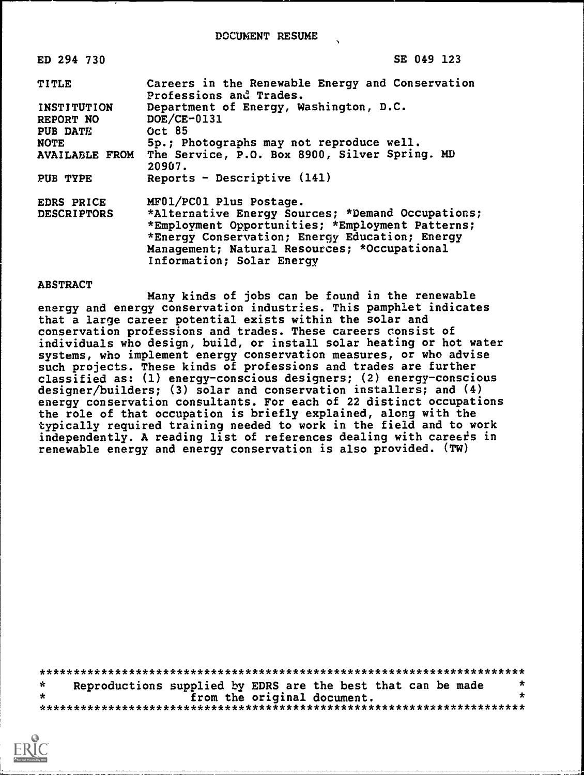DOCUMENT RESUME

| ED 294 730                             | SE 049 123                                                                                                                                                                                                                           |  |  |  |  |  |
|----------------------------------------|--------------------------------------------------------------------------------------------------------------------------------------------------------------------------------------------------------------------------------------|--|--|--|--|--|
| <b>TITLE</b>                           | Careers in the Renewable Energy and Conservation<br>Professions and Trades.                                                                                                                                                          |  |  |  |  |  |
| <b>INSTITUTION</b><br><b>REPORT NO</b> | Department of Energy, Washington, D.C.<br>$DOE/CE-0131$                                                                                                                                                                              |  |  |  |  |  |
| <b>PUB DATE</b>                        | Oct 85                                                                                                                                                                                                                               |  |  |  |  |  |
| <b>NOTE</b>                            | 5p.; Photographs may not reproduce well.                                                                                                                                                                                             |  |  |  |  |  |
| <b>AVAILABLE FROM</b>                  | The Service, P.O. Box 8900, Silver Spring. MD<br>20907.                                                                                                                                                                              |  |  |  |  |  |
| <b>PUB TYPE</b>                        | Reports - Descriptive $(141)$                                                                                                                                                                                                        |  |  |  |  |  |
| <b>EDRS PRICE</b>                      | MF01/PC01 Plus Postage.                                                                                                                                                                                                              |  |  |  |  |  |
| <b>DESCRIPTORS</b>                     | *Alternative Energy Sources; *Demand Occupations;<br>*Employment Opportunities; *Employment Patterns;<br>*Energy Conservation; Energy Education; Energy<br>Management; Natural Resources; *Occupational<br>Information; Solar Energy |  |  |  |  |  |

#### **ABSTRACT**

Many kinds of jobs can be found in the renewable energy and energy conservation industries. This pamphlet indicates that a large career potential exists within the solar and conservation professions and trades. These careers consist of individuals who design, build, or install solar heating or hot water systems, who implement energy conservation measures, or who advise such projects. These kinds of professions and trades are further<br>classified as: (1) energy-conscious designers; (2) energy-conscious designer/builders; (3) solar and conservation installers; and (4) energy conservation consultants. For each of 22 distinct occupations the role of that occupation is briefly explained, along with the typically required training needed to work in the field and to work independently. A reading list of references dealing with careers in renewable energy and energy conservation is also provided. (TW)

 $\star$  $\mathbf{x}$ Reproductions supplied by EDRS are the best that can be made  $\star$ from the original document.  $\star$ 

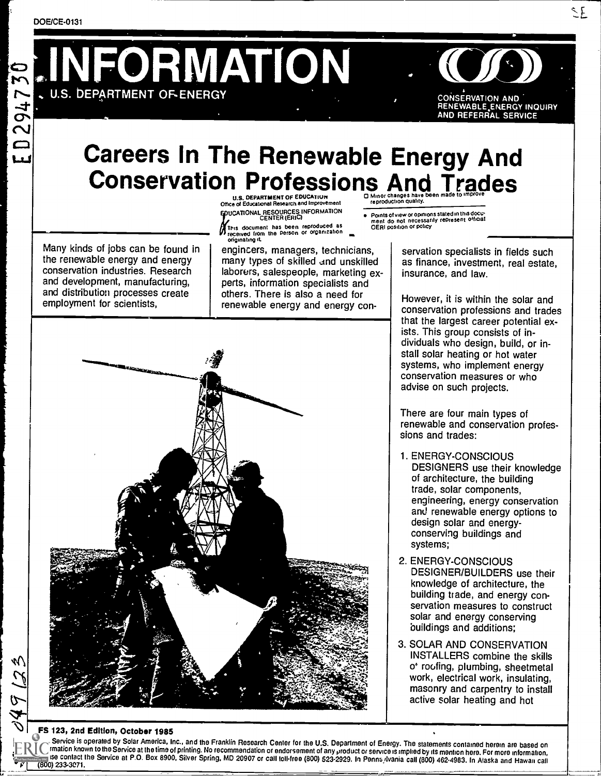2947

 $\Box$ لىما LINFORMATION

 $f(\widehat{\boldsymbol{\beta}})$ CONSERVATION AND RENEWABLE.ENERGY INQUIRY AND REFERRAL SERVICE

# Careers In The Renewable Energy And Conservation Professions And Trades

Many kinds of jobs can be found in the renewable energy and energy conservation industries. Research and development, manufacturing, and distribution processes create employment for scientists,

U.S. DEPARTMENT OF EDUCATION Office of Educational Research and Improvement DUCATIONAL RESOURCES INFORMATION<br>CENTER (ERIC)

This document has been reproduced as formulation and the person or organization and the formulation and the fo originating it

engineers, managers, technicians, many types of skilled and unskilled laborers, salespeople, marketing experts, information specialists and others. There is also a need for renewable energy and energy con-

Points of view or Opinions stated in this docu-<br>ment .do\_not\_necessarily\_represent\_official<br>OERI position or policy

servation specialists in fields such as finance, investment, real estate, insurance, and law.

However, it is within the solar and conservation professions and trades that the largest career potential exists. This group consists of individuals who design, build, or install solar heating or hot water systems, who implement energy conservation measures or who advise on such projects.

There are four main types of renewable and conservation professions and trades:

- 1. ENERGY-CONSCIOUS DESIGNERS use their knowledge of architecture, the building trade, solar components, engineering, energy conservation and renewable energy options to design solar and energyconserving buildings and systems;
- 2. ENERGY-CONSCIOUS DESIGNER/BUILDERS use their knowledge of architecture, the building trade, and energy conservation measures to construct solar and energy conserving buildings and additions;
- 3. SOLAR AND CONSERVATION INSTALLERS combine the skills o<sup>\*</sup> roofing, plumbing, sheetmetal work, electrical work, insulating, masonry and carpentry to install active solar heating and hot

FS 123, 2nd Edition, October 1985<br>Service is operated by Solar America, Inc., and the Franklin Research Center for the U.S. Department of Energy. The statements contained herein are based on C mation known to the Service at the time of printing. No recommendation or endorsement of any product or service is implied by its mention here. For more information,<br>(800) 233-3071,<br>(800) 233-3071,

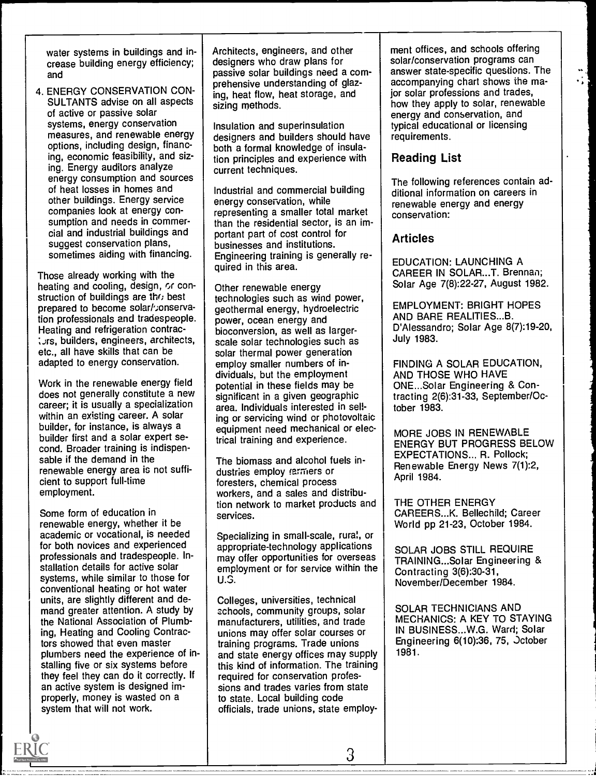water systems in buildings and increase building energy efficiency; and

4. ENERGY CONSERVATION CON-SULTANTS advise on all aspects of active or passive solar systems, energy conservation measures, and renewable energy options, including design, financing, economic feasibility, and sizing. Energy auditors analyze energy consumption and sources of heat losses in homes and other buildings. Energy service companies look at energy consumption and needs in commercial and industrial buildings and suggest conservation plans, sometimes aiding with financing.

Those already working with the heating and cooling, design, or construction of buildings are the best prepared to become solar/: onservation professionals and tradespeople. Heating and refrigeration contrac- : urs, builders, engineers, architects, etc., all have skills that can be adapted to energy conservation.

Work in the renewable energy field does not generally constitute a new career; it is usually a specialization within an existing career. A solar builder, for instance, is always a builder first and a solar expert second. Broader training is indispensable if the demand in the renewable energy area is not sufficient to support full-time employment.

Some form of education in renewable energy, whether it be academic or vocational, is needed for both novices and experienced professionals and tradespeople. Installation details for active solar systems, while similar to those for conventional heating or hot water units, are slightly different and demand greater attention. A study by the National Association of Plumbing, Heating and Cooling Contractors showed that even master plumbers need the experience of installing five or six systems before they feel they can do it correctly. If an active system is designed improperly, money is wasted on a system that will not work.

Architects, engineers, and other designers who draw plans for passive solar buildings need a comprehensive understanding of glazing, heat flow, heat storage, and sizing methods.

Insulation and superinsulation designers and builders should have both a formal knowledge of insulation principles and experience with current techniques.

Industrial and commercial building energy conservation, while representing a smaller total market than the residential sector, is an important part of cost control for businesses and institutions. Engineering training is generally required in this area.

Other renewable energy technologies such as wind power, geothermal energy, hydroelectric power, ocean energy and bioconversion, as well as largerscale solar technologies such as solar thermal power generation employ smaller numbers of individuals, but the employment potential in these fields may be significant in a given geographic area. Individuals interested in selling or servicing wind or photovoltaic equipment need mechanical or electrical training and experience.

The biomass and alcohol fuels industries employ rarmers or foresters, chemical process workers, and a sales and distribution network to market products and services.

Specializing in small-scale, rural, or appropriate-technology applications may offer opportunities for overseas employment or for service within the U.S.

Colleges, universities, technical schools, community groups, solar manufacturers, utilities, and trade unions may offer solar courses or training programs. Trade unions and state energy offices may supply this kind of information. The training required for conservation professions and trades varies from state to state. Local building code officials, trade unions, state employ-

3

ment offices, and schools offering solar/conservation programs can answer state-specific questions. The accompanying chart shows the major solar professions and trades, how they apply to solar, renewable energy and conservation, and typical educational or licensing requirements.

### Reading List

The following references contain additional information on careers in renewable energy and energy conservation:

#### **Articles**

EDUCATION: LAUNCHING A CAREER IN SOLAR...T. Brennan; Solar Age 7(8):22-27, August 1982.

EMPLOYMENT: BRIGHT HOPES AND BARE REALITIES...B. D'Alessandro; Solar Age 8(7):19 -20, July 1983.

FINDING A SOLAR EDUCATION, AND THOSE WHO HAVE ONE...Solar Engineering & Contracting 2(6):31-33, September/October 1983.

MORE JOBS IN RENEWABLE ENERGY BUT PROGRESS BELOW EXPECTATIONS... R. Pollock; Renewable Energy News 7(1):2, April 1984.

THE OTHER ENERGY CAREERS...K. Bellechild; Career World pp 21-23, October 1984.

SOLAR JOBS STILL REQUIRE TRAINING...Solar Engineering & Contracting 3(6):30-31, November/December 1984.

SOLAR TECHNICIANS AND MECHANICS: A KEY TO STAYING IN BUSINESS...W.G. Ward; Solar Engineering 6(10):36, 75, Jctober 1981.

J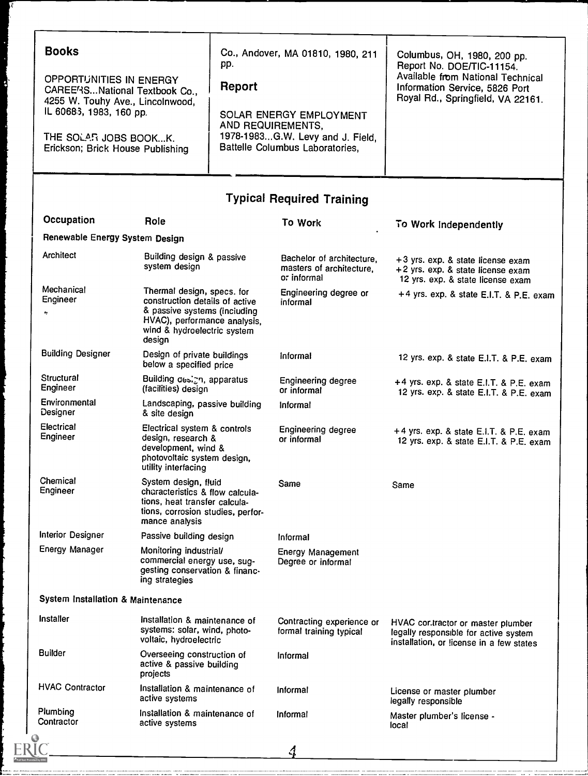| <b>Books</b><br>OPPORTUNITIES IN ENERGY<br>CAREE/ISNational Textbook Co.,<br>4255 W. Touhy Ave., Lincolnwood,<br>IL 60683, 1983, 160 pp.<br>THE SOLAR JOBS BOOKK.<br>Erickson; Brick House Publishing |                                                                                                                                                                       | Co., Andover, MA 01810, 1980, 211<br>pp.<br>Report<br>SOLAR ENERGY EMPLOYMENT<br>AND REQUIREMENTS,<br>1978-1983G.W. Levy and J. Field,<br>Battelle Columbus Laboratories, |                                                                      | Columbus, OH, 1980, 200 pp.<br>Report No. DOE/TIC-11154.<br>Available from National Technical<br>Information Service, 5826 Port<br>Royal Rd., Springfield, VA 22161. |  |
|-------------------------------------------------------------------------------------------------------------------------------------------------------------------------------------------------------|-----------------------------------------------------------------------------------------------------------------------------------------------------------------------|---------------------------------------------------------------------------------------------------------------------------------------------------------------------------|----------------------------------------------------------------------|----------------------------------------------------------------------------------------------------------------------------------------------------------------------|--|
|                                                                                                                                                                                                       |                                                                                                                                                                       |                                                                                                                                                                           |                                                                      |                                                                                                                                                                      |  |
|                                                                                                                                                                                                       |                                                                                                                                                                       |                                                                                                                                                                           | <b>Typical Required Training</b>                                     |                                                                                                                                                                      |  |
| Occupation                                                                                                                                                                                            | Role                                                                                                                                                                  |                                                                                                                                                                           | To Work                                                              | To Work Independently                                                                                                                                                |  |
| Renewable Energy System Design                                                                                                                                                                        |                                                                                                                                                                       |                                                                                                                                                                           |                                                                      |                                                                                                                                                                      |  |
| Architect                                                                                                                                                                                             | Building design & passive<br>system design                                                                                                                            |                                                                                                                                                                           | Bachelor of architecture,<br>masters of architecture,<br>o: informal | +3 yrs. exp. & state license exam<br>+2 yrs. exp. & state license exam<br>12 yrs. exp. & state license exam                                                          |  |
| Mechanical<br>Engineer<br>ı,                                                                                                                                                                          | Thermal design, specs. for<br>construction details of active<br>& passive systems (including<br>HVAC), performance analysis,<br>wind & hydroelectric system<br>design |                                                                                                                                                                           | Engineering degree or<br>informal                                    | +4 yrs. exp. & state E.I.T. & P.E. exam                                                                                                                              |  |
| <b>Building Designer</b>                                                                                                                                                                              | Design of private buildings<br>below a specified price                                                                                                                |                                                                                                                                                                           | Informal                                                             | 12 yrs. exp. & state E.I.T. & P.E. exam                                                                                                                              |  |
| Structural<br>Engineer                                                                                                                                                                                | Building design, apparatus<br>(facilities) design                                                                                                                     |                                                                                                                                                                           | Engineering degree<br>or informal                                    | +4 yrs. exp. & state E.I.T. & P.E. exam<br>12 yrs. exp. & state E.I.T. & P.E. exam                                                                                   |  |
| Environmental<br>Designer                                                                                                                                                                             | Landscaping, passive building<br>& site design                                                                                                                        |                                                                                                                                                                           | Informal                                                             |                                                                                                                                                                      |  |
| Electrical<br>Engineer                                                                                                                                                                                | Electrical system & controls<br>design, research &<br>development, wind &<br>photovoltaic system design,<br>utility interfacing                                       |                                                                                                                                                                           | Engineering degree<br>or informal                                    | +4 yrs. exp. & state E.I.T. & P.E. exam<br>12 yrs. exp. & state E.I.T. & P.E. exam                                                                                   |  |
| Chemical<br>Engineer                                                                                                                                                                                  | System design, fluid<br>characteristics & flow calcula-<br>tions, heat transfer calcula-<br>tions, corrosion studies, perfor-<br>mance analysis                       |                                                                                                                                                                           | Same                                                                 | Same                                                                                                                                                                 |  |
| <b>Interior Designer</b>                                                                                                                                                                              | Passive building design                                                                                                                                               |                                                                                                                                                                           | Informal                                                             |                                                                                                                                                                      |  |
| Energy Manager                                                                                                                                                                                        | Monitoring industrial/<br>commercial energy use, sug-<br>gesting conservation & financ-<br>ing strategies                                                             |                                                                                                                                                                           | <b>Energy Management</b><br>Degree or informal                       |                                                                                                                                                                      |  |
| System Installation & Maintenance                                                                                                                                                                     |                                                                                                                                                                       |                                                                                                                                                                           |                                                                      |                                                                                                                                                                      |  |
| Installer                                                                                                                                                                                             |                                                                                                                                                                       | Installation & maintenance of<br>systems: solar, wind, photo-<br>voltaic, hydroelectric                                                                                   |                                                                      | HVAC cortractor or master plumber<br>legally responsible for active system<br>installation, or license in a few states                                               |  |
| <b>Builder</b>                                                                                                                                                                                        | Overseeing construction of<br>active & passive building<br>projects                                                                                                   |                                                                                                                                                                           | Informal                                                             |                                                                                                                                                                      |  |
| <b>HVAC Contractor</b>                                                                                                                                                                                | Installation & maintenance of<br>active systems                                                                                                                       |                                                                                                                                                                           | Informal                                                             | License or master plumber<br>legally responsible                                                                                                                     |  |
| Plumbing<br>Contractor                                                                                                                                                                                | Installation & maintenance of<br>active systems                                                                                                                       |                                                                                                                                                                           | Informal                                                             | Master plumber's license -<br>local                                                                                                                                  |  |
|                                                                                                                                                                                                       |                                                                                                                                                                       |                                                                                                                                                                           |                                                                      |                                                                                                                                                                      |  |
|                                                                                                                                                                                                       |                                                                                                                                                                       |                                                                                                                                                                           |                                                                      |                                                                                                                                                                      |  |